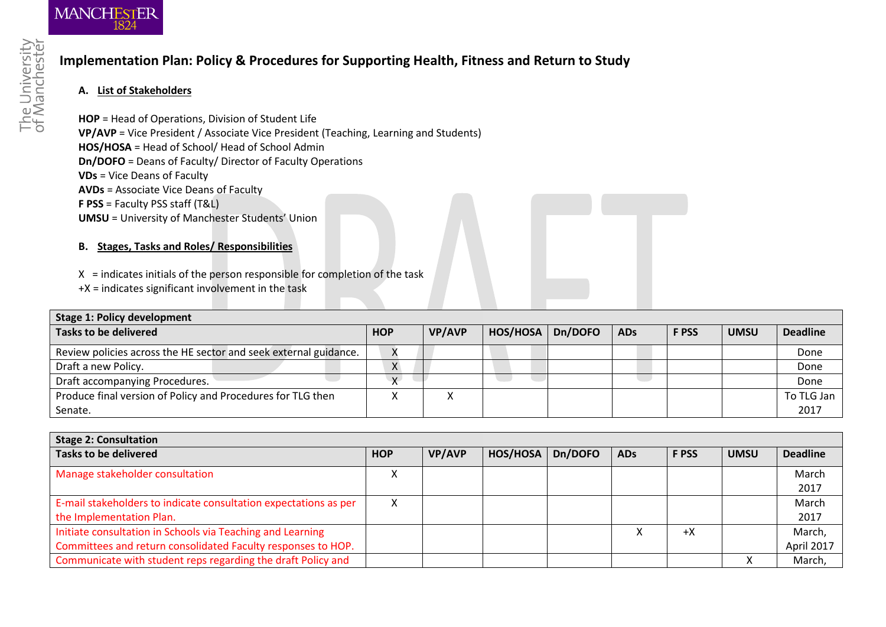

## **Implementation Plan: Policy & Procedures for Supporting Health, Fitness and Return to Study**

## **A. List of Stakeholders**

**HOP** = Head of Operations, Division of Student Life **VP/AVP** = Vice President / Associate Vice President (Teaching, Learning and Students) **HOS/HOSA** = Head of School/ Head of School Admin **Dn/DOFO** = Deans of Faculty/ Director of Faculty Operations **VDs** = Vice Deans of Faculty **AVDs** = Associate Vice Deans of Faculty **F PSS** = Faculty PSS staff (T&L) **UMSU** = University of Manchester Students' Union

## **B. Stages, Tasks and Roles/ Responsibilities**

- $X =$  indicates initials of the person responsible for completion of the task
- +X = indicates significant involvement in the task

| <b>Stage 1: Policy development</b>                               |              |               |          |         |            |              |             |                 |
|------------------------------------------------------------------|--------------|---------------|----------|---------|------------|--------------|-------------|-----------------|
| <b>Tasks to be delivered</b>                                     | <b>HOP</b>   | <b>VP/AVP</b> | HOS/HOSA | Dn/DOFO | <b>ADs</b> | <b>F PSS</b> | <b>UMSU</b> | <b>Deadline</b> |
| Review policies across the HE sector and seek external guidance. |              |               |          |         |            |              |             | Done            |
| Draft a new Policy.                                              | X            |               |          |         |            |              |             | Done            |
| Draft accompanying Procedures.                                   | $\mathbf{v}$ |               |          |         |            |              |             | Done            |
| Produce final version of Policy and Procedures for TLG then      |              |               |          |         |            |              |             | To TLG Jan      |
| Senate.                                                          |              |               |          |         |            |              |             | 2017            |

| Stage 2: Consultation                                                                                                      |            |               |          |         |            |              |             |                      |
|----------------------------------------------------------------------------------------------------------------------------|------------|---------------|----------|---------|------------|--------------|-------------|----------------------|
| <b>Tasks to be delivered</b>                                                                                               | <b>HOP</b> | <b>VP/AVP</b> | HOS/HOSA | Dn/DOFO | <b>ADs</b> | <b>F PSS</b> | <b>UMSU</b> | <b>Deadline</b>      |
| Manage stakeholder consultation                                                                                            | x          |               |          |         |            |              |             | March<br>2017        |
| E-mail stakeholders to indicate consultation expectations as per<br>the Implementation Plan.                               | х          |               |          |         |            |              |             | March<br>2017        |
| Initiate consultation in Schools via Teaching and Learning<br>Committees and return consolidated Faculty responses to HOP. |            |               |          |         |            | $+X$         |             | March,<br>April 2017 |
| Communicate with student reps regarding the draft Policy and                                                               |            |               |          |         |            |              |             | March,               |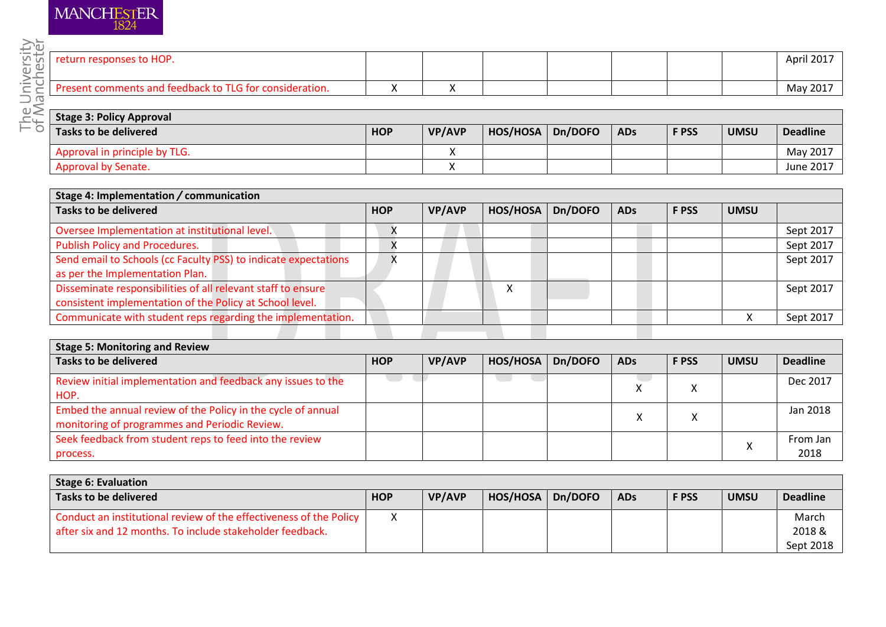| <b>MANCHESTER</b> | 1824 |
|-------------------|------|
|                   |      |

| <b>HOP</b><br>ro-<br>TUrn                 |    |  |  | April 2017 |
|-------------------------------------------|----|--|--|------------|
| for consideration.<br>TI G<br>− †∩<br>ΆCΑ | ۰. |  |  | May 2017   |

|                              |            | - -           |          |         |            |              |             | $\cdots$ $\cdots$ |
|------------------------------|------------|---------------|----------|---------|------------|--------------|-------------|-------------------|
|                              |            |               |          |         |            |              |             |                   |
| tage 3: Policy Approval      |            |               |          |         |            |              |             |                   |
| asks to be delivered         | <b>HOP</b> | <b>VP/AVP</b> | HOS/HOSA | Dn/DOFO | <b>ADs</b> | <b>F PSS</b> | <b>UMSU</b> | <b>Deadline</b>   |
| pproval in principle by TLG. |            | Λ             |          |         |            |              |             | May 2017          |
| pproval by Senate.           |            |               |          |         |            |              |             | June 2017         |
|                              |            |               |          |         |            |              |             |                   |

| Stage 4: Implementation / communication                         |            |               |          |         |            |              |             |           |
|-----------------------------------------------------------------|------------|---------------|----------|---------|------------|--------------|-------------|-----------|
| <b>Tasks to be delivered</b>                                    | <b>HOP</b> | <b>VP/AVP</b> | HOS/HOSA | Dn/DOFO | <b>ADs</b> | <b>F PSS</b> | <b>UMSU</b> |           |
| Oversee Implementation at institutional level.                  | $\lambda$  |               |          |         |            |              |             | Sept 2017 |
| Publish Policy and Procedures.                                  |            |               |          |         |            |              |             | Sept 2017 |
| Send email to Schools (cc Faculty PSS) to indicate expectations |            |               |          |         |            |              |             | Sept 2017 |
| as per the Implementation Plan.                                 |            |               |          |         |            |              |             |           |
| Disseminate responsibilities of all relevant staff to ensure    |            |               |          |         |            |              |             | Sept 2017 |
| consistent implementation of the Policy at School level.        |            |               |          |         |            |              |             |           |
| Communicate with student reps regarding the implementation.     |            |               |          |         |            |              |             | Sept 2017 |
|                                                                 |            |               |          |         |            |              |             |           |

| <b>Stage 5: Monitoring and Review</b>                                                                         |            |               |          |         |            |              |             |                  |
|---------------------------------------------------------------------------------------------------------------|------------|---------------|----------|---------|------------|--------------|-------------|------------------|
| <b>Tasks to be delivered</b>                                                                                  | <b>HOP</b> | <b>VP/AVP</b> | HOS/HOSA | Dn/DOFO | <b>ADs</b> | <b>F PSS</b> | <b>UMSU</b> | <b>Deadline</b>  |
| Review initial implementation and feedback any issues to the<br>HOP.                                          |            |               |          |         |            | ⌒            |             | Dec 2017         |
| Embed the annual review of the Policy in the cycle of annual<br>monitoring of programmes and Periodic Review. |            |               |          |         |            | ↗            |             | Jan 2018         |
| Seek feedback from student reps to feed into the review<br>process.                                           |            |               |          |         |            |              |             | From Jan<br>2018 |

| Stage 6: Evaluation                                                                                                             |            |               |          |         |            |              |             |                 |
|---------------------------------------------------------------------------------------------------------------------------------|------------|---------------|----------|---------|------------|--------------|-------------|-----------------|
| Tasks to be delivered                                                                                                           | <b>HOP</b> | <b>VP/AVP</b> | HOS/HOSA | Dn/DOFO | <b>ADs</b> | <b>F PSS</b> | <b>UMSU</b> | <b>Deadline</b> |
| Conduct an institutional review of the effectiveness of the Policy<br>after six and 12 months. To include stakeholder feedback. |            |               |          |         |            |              |             | March<br>2018 & |
|                                                                                                                                 |            |               |          |         |            |              |             | Sept 2018       |